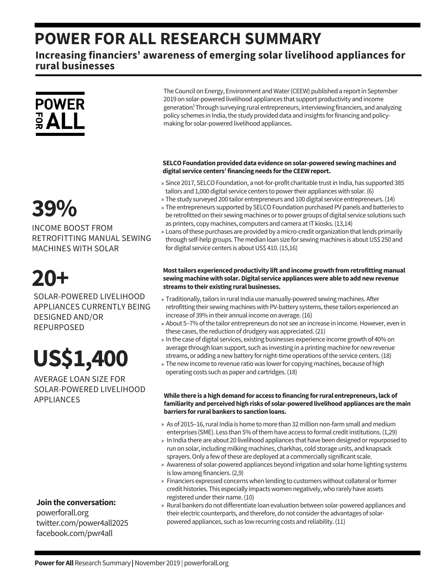### **POWER FOR ALL RESEARCH SUMMARY**

#### **Increasing financiers' awareness of emerging solar livelihood appliances for rural businesses**



## **39%**

INCOME BOOST FROM RETROFITTING MANUAL SEWING MACHINES WITH SOLAR

## **20+**

SOLAR-POWERED LIVELIHOOD APPLIANCES CURRENTLY BEING DESIGNED AND/OR REPURPOSED

# **US\$1,400**

AVERAGE LOAN SIZE FOR SOLAR-POWERED LIVELIHOOD APPLIANCES

#### **Jointhe conversation:**

powerforall.org twitter.com/power4all2025 facebook.com/pwr4all

The Council on Energy, Environment and Water (CEEW) published a report in September 2019 on solar-powered livelihood appliances that support productivity and income generation<sup>1</sup>. Through surveying rural entrepreneurs, interviewing financiers, and analyzing policy schemes in India, the study provided data and insights for financing and policymaking for solar-powered livelihood appliances.

#### **SELCOFoundationprovideddata evidence onsolar-poweredsewingmachines and digital service centers'financingneeds fortheCEEW report.**

- » Since 2017, SELCO Foundation, a not-for-profit charitable trust in India, has supported 385 tailors and 1,000 digital service centers to power their appliances with solar. (6)
- The study surveyed 200 tailor entrepreneurs and 100 digital service entrepreneurs.(14) »
- » The entrepreneurs supported by SELCO Foundation purchased PV panels and batteries to be retrofitted on their sewing machines or to power groups of digital service solutions such as printers, copy machines, computers and camera at IT kiosks. (13,14)
- » Loans of these purchases are provided by a micro-credit organization that lends primarily through self-help groups. The median loan size for sewing machines is about US\$ 250 and for digital service centers is about US\$ 410. (15,16)

#### **Mosttailors experiencedproductivity lift andincome growthfromretrofittingmanual sewingmachinewithsolar.Digital service applianceswere able to addnewrevenue streams to their existing ruralbusinesses.**

- » Traditionally, tailors in rural India use manually-powered sewing machines. After retrofitting their sewing machines with PV-battery systems, these tailors experienced an increase of 39% in their annual income on average.(16)
- » About 5–7% of the tailor entrepreneurs do not see an increase in income. However, even in these cases, the reduction of drudgery was appreciated. (21)
- » In the case of digital services, existing businesses experience income growth of 40% on average through loan support, such as investing in a printing machine for newrevenue streams, or adding a new battery for night-time operations of the service centers. (18)
- » The new income to revenue ratio was lower for copying machines, because of high operating costs such as paper and cartridges.(18)

#### **While there is ahighdemandfor access to financing forrural entrepreneurs,lack of familiarity andperceivedhighrisks of solar-poweredlivelihoodappliances are themain barriers forruralbankers to sanctionloans.**

- » As of 2015–16, rural India is home to more than 32 million non-farm small and medium enterprises (SME). Less than 5% of them have access to formal credit institutions. (1,29)
- » In India there are about 20 livelihood appliances that have been designed or repurposed to run on solar, including milking machines, charkhas, cold storage units, and knapsack sprayers. Only a few of these are deployed at a commercially significant scale.
- Awareness of solar-powered appliances beyond irrigation and solar home lighting systems » is lowamong financiers.(2,9)
- » Financiers expressed concerns when lending to customers without collateral or former credit histories. This especially impactswomen negatively,who rarely have assets registered under their name. (10)
- » Rural bankers do not differentiate loan evaluation between solar-powered appliances and their electric counterparts, and therefore, do not considerthe advantages of solarpowered appliances, such as lowrecurring costs and reliability.(11)